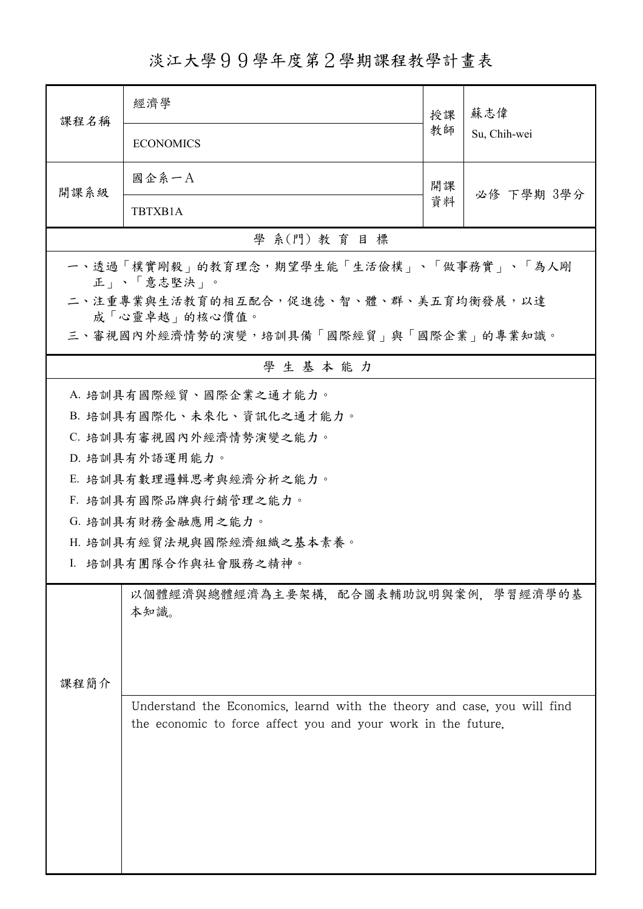淡江大學99學年度第2學期課程教學計畫表

| 課程名稱                                                                                                                                      | 經濟學                      | 授課 | 蘇志偉<br>Su, Chih-wei |  |  |  |  |  |
|-------------------------------------------------------------------------------------------------------------------------------------------|--------------------------|----|---------------------|--|--|--|--|--|
|                                                                                                                                           | <b>ECONOMICS</b>         | 教師 |                     |  |  |  |  |  |
| 開課系級                                                                                                                                      | 國企系一A                    | 開課 | 必修 下學期 3學分          |  |  |  |  |  |
|                                                                                                                                           | TBTXB1A                  | 資料 |                     |  |  |  |  |  |
| 學 系(門) 教育目標                                                                                                                               |                          |    |                     |  |  |  |  |  |
| 一、透過「樸實剛毅」的教育理念,期望學生能「生活儉樸」、「做事務實」、「為人剛<br>正」、「意志堅決」。                                                                                     |                          |    |                     |  |  |  |  |  |
| 二、注重專業與生活教育的相互配合,促進德、智、體、群、美五育均衡發展,以達<br>成「心靈卓越」的核心價值。                                                                                    |                          |    |                     |  |  |  |  |  |
| 三、審視國內外經濟情勢的演變,培訓具備「國際經貿」與「國際企業」的專業知識。                                                                                                    |                          |    |                     |  |  |  |  |  |
|                                                                                                                                           | 學生基本能力                   |    |                     |  |  |  |  |  |
|                                                                                                                                           | A. 培訓具有國際經貿、國際企業之通才能力。   |    |                     |  |  |  |  |  |
|                                                                                                                                           | B. 培訓具有國際化、未來化、資訊化之通才能力。 |    |                     |  |  |  |  |  |
|                                                                                                                                           | C. 培訓具有審視國內外經濟情勢演變之能力。   |    |                     |  |  |  |  |  |
|                                                                                                                                           | D. 培訓具有外語運用能力。           |    |                     |  |  |  |  |  |
|                                                                                                                                           | E. 培訓具有數理邏輯思考與經濟分析之能力。   |    |                     |  |  |  |  |  |
|                                                                                                                                           | F. 培訓具有國際品牌與行銷管理之能力。     |    |                     |  |  |  |  |  |
| G. 培訓具有財務金融應用之能力。                                                                                                                         |                          |    |                     |  |  |  |  |  |
|                                                                                                                                           | H. 培訓具有經貿法規與國際經濟組織之基本素養。 |    |                     |  |  |  |  |  |
|                                                                                                                                           | I. 培訓具有團隊合作與社會服務之精神。     |    |                     |  |  |  |  |  |
| 以個體經濟與總體經濟為主要架構,配合圖表輔助說明與案例,學習經濟學的基<br>本知識。                                                                                               |                          |    |                     |  |  |  |  |  |
| 课程简介                                                                                                                                      |                          |    |                     |  |  |  |  |  |
| Understand the Economics, learnd with the theory and case, you will find<br>the economic to force affect you and your work in the future. |                          |    |                     |  |  |  |  |  |
|                                                                                                                                           |                          |    |                     |  |  |  |  |  |
|                                                                                                                                           |                          |    |                     |  |  |  |  |  |
|                                                                                                                                           |                          |    |                     |  |  |  |  |  |
|                                                                                                                                           |                          |    |                     |  |  |  |  |  |
|                                                                                                                                           |                          |    |                     |  |  |  |  |  |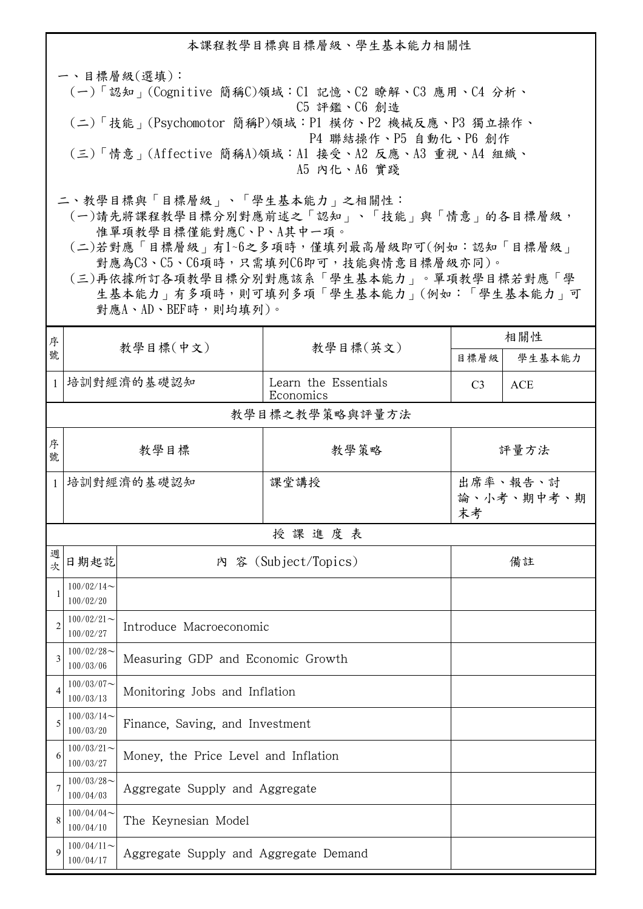本課程教學目標與目標層級、學生基本能力相關性

一、目標層級(選填): (一)「認知」(Cognitive 簡稱C)領域:C1 記憶、C2 瞭解、C3 應用、C4 分析、 C5 評鑑、C6 創造 (二)「技能」(Psychomotor 簡稱P)領域:P1 模仿、P2 機械反應、P3 獨立操作、 P4 聯結操作、P5 自動化、P6 創作 (三)「情意」(Affective 簡稱A)領域:A1 接受、A2 反應、A3 重視、A4 組織、 A5 內化、A6 實踐

二、教學目標與「目標層級」、「學生基本能力」之相關性:

 (一)請先將課程教學目標分別對應前述之「認知」、「技能」與「情意」的各目標層級, 惟單項教學目標僅能對應C、P、A其中一項。

 (二)若對應「目標層級」有1~6之多項時,僅填列最高層級即可(例如:認知「目標層級」 對應為C3、C5、C6項時,只需填列C6即可,技能與情意目標層級亦同)。

 (三)再依據所訂各項教學目標分別對應該系「學生基本能力」。單項教學目標若對應「學 生基本能力」有多項時,則可填列多項「學生基本能力」(例如:「學生基本能力」可 對應A、AD、BEF時,則均填列)。

| 序              |                            | 教學目標(中文)                              |                                   | 相關性                          |            |  |  |  |  |
|----------------|----------------------------|---------------------------------------|-----------------------------------|------------------------------|------------|--|--|--|--|
| 號              |                            |                                       | 教學目標(英文)                          | 目標層級                         | 學生基本能力     |  |  |  |  |
| $\mathbf{1}$   | 培訓對經濟的基礎認知                 |                                       | Learn the Essentials<br>Economics | C <sub>3</sub>               | <b>ACE</b> |  |  |  |  |
|                | 教學目標之教學策略與評量方法             |                                       |                                   |                              |            |  |  |  |  |
| 序<br>號         | 教學目標                       |                                       | 教學策略                              | 評量方法                         |            |  |  |  |  |
| 1              | 培訓對經濟的基礎認知                 |                                       | 課堂講授                              | 出席率、報告、討<br>論、小考、期中考、期<br>末考 |            |  |  |  |  |
|                | 授課進度表                      |                                       |                                   |                              |            |  |  |  |  |
| 週<br>次         | 日期起訖                       |                                       | 內 容 (Subject/Topics)              | 備註                           |            |  |  |  |  |
| $\mathbf{1}$   | $100/02/14$ ~<br>100/02/20 |                                       |                                   |                              |            |  |  |  |  |
| $\overline{2}$ | $100/02/21$ ~<br>100/02/27 | Introduce Macroeconomic               |                                   |                              |            |  |  |  |  |
| 3              | $100/02/28$ ~<br>100/03/06 | Measuring GDP and Economic Growth     |                                   |                              |            |  |  |  |  |
| $\overline{4}$ | $100/03/07$ ~<br>100/03/13 | Monitoring Jobs and Inflation         |                                   |                              |            |  |  |  |  |
| 5              | $100/03/14$ ~<br>100/03/20 | Finance, Saving, and Investment       |                                   |                              |            |  |  |  |  |
| 6              | $100/03/21$ ~<br>100/03/27 | Money, the Price Level and Inflation  |                                   |                              |            |  |  |  |  |
| 7              | $100/03/28$ ~<br>100/04/03 | Aggregate Supply and Aggregate        |                                   |                              |            |  |  |  |  |
| 8              | $100/04/04$ ~<br>100/04/10 | The Keynesian Model                   |                                   |                              |            |  |  |  |  |
| $\mathbf Q$    | $100/04/11$ ~<br>100/04/17 | Aggregate Supply and Aggregate Demand |                                   |                              |            |  |  |  |  |